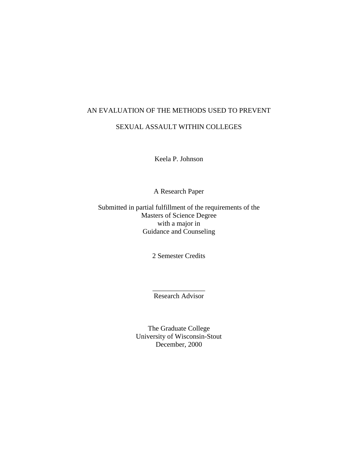# AN EVALUATION OF THE METHODS USED TO PREVENT SEXUAL ASSAULT WITHIN COLLEGES

Keela P. Johnson

A Research Paper

Submitted in partial fulfillment of the requirements of the Masters of Science Degree with a major in Guidance and Counseling

2 Semester Credits

 $\overline{\phantom{a}}$  , where  $\overline{\phantom{a}}$ Research Advisor

The Graduate College University of Wisconsin-Stout December, 2000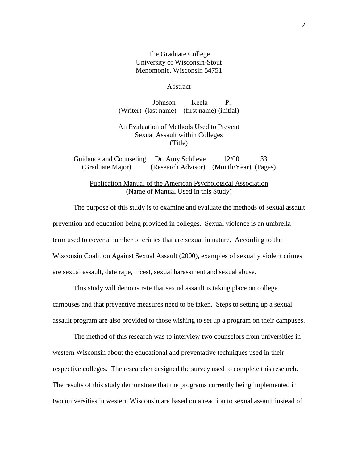## The Graduate College University of Wisconsin-Stout Menomonie, Wisconsin 54751

### Abstract

Johnson Keela P. (Writer) (last name) (first name) (initial)

## An Evaluation of Methods Used to Prevent Sexual Assault within Colleges (Title)

Guidance and Counseling Dr. Amy Schlieve 12/00 33 (Graduate Major) (Research Advisor) (Month/Year) (Pages)

Publication Manual of the American Psychological Association (Name of Manual Used in this Study)

 The purpose of this study is to examine and evaluate the methods of sexual assault prevention and education being provided in colleges. Sexual violence is an umbrella term used to cover a number of crimes that are sexual in nature. According to the Wisconsin Coalition Against Sexual Assault (2000), examples of sexually violent crimes are sexual assault, date rape, incest, sexual harassment and sexual abuse.

This study will demonstrate that sexual assault is taking place on college campuses and that preventive measures need to be taken. Steps to setting up a sexual assault program are also provided to those wishing to set up a program on their campuses.

The method of this research was to interview two counselors from universities in western Wisconsin about the educational and preventative techniques used in their respective colleges. The researcher designed the survey used to complete this research. The results of this study demonstrate that the programs currently being implemented in two universities in western Wisconsin are based on a reaction to sexual assault instead of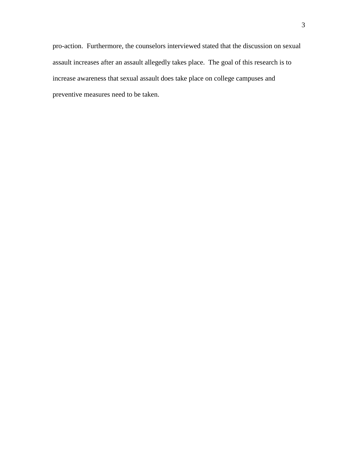pro-action. Furthermore, the counselors interviewed stated that the discussion on sexual assault increases after an assault allegedly takes place. The goal of this research is to increase awareness that sexual assault does take place on college campuses and preventive measures need to be taken.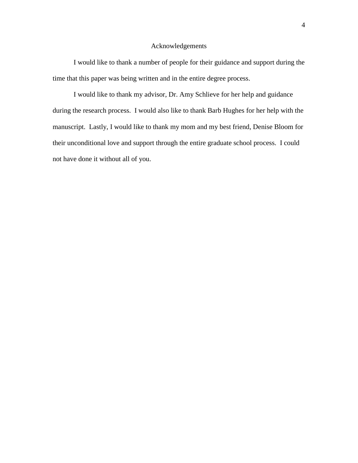## Acknowledgements

 I would like to thank a number of people for their guidance and support during the time that this paper was being written and in the entire degree process.

 I would like to thank my advisor, Dr. Amy Schlieve for her help and guidance during the research process. I would also like to thank Barb Hughes for her help with the manuscript. Lastly, I would like to thank my mom and my best friend, Denise Bloom for their unconditional love and support through the entire graduate school process. I could not have done it without all of you.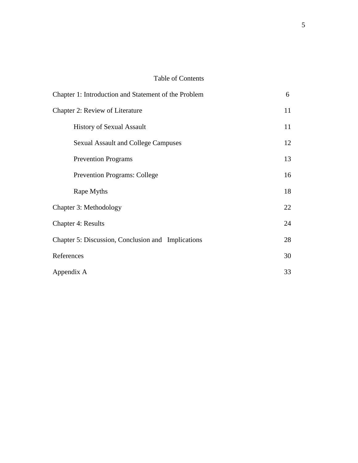# Table of Contents

| Chapter 1: Introduction and Statement of the Problem | 6  |
|------------------------------------------------------|----|
| Chapter 2: Review of Literature                      | 11 |
| <b>History of Sexual Assault</b>                     | 11 |
| <b>Sexual Assault and College Campuses</b>           | 12 |
| <b>Prevention Programs</b>                           | 13 |
| <b>Prevention Programs: College</b>                  | 16 |
| Rape Myths                                           | 18 |
| Chapter 3: Methodology                               | 22 |
| <b>Chapter 4: Results</b>                            | 24 |
| Chapter 5: Discussion, Conclusion and Implications   | 28 |
| References                                           | 30 |
| Appendix A                                           | 33 |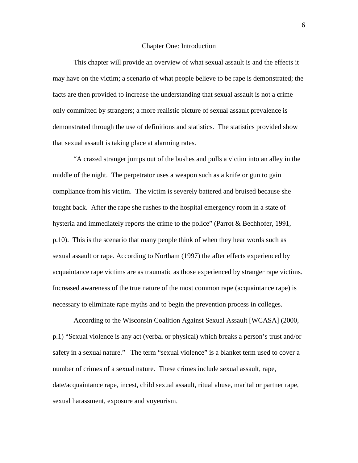#### Chapter One: Introduction

 This chapter will provide an overview of what sexual assault is and the effects it may have on the victim; a scenario of what people believe to be rape is demonstrated; the facts are then provided to increase the understanding that sexual assault is not a crime only committed by strangers; a more realistic picture of sexual assault prevalence is demonstrated through the use of definitions and statistics. The statistics provided show that sexual assault is taking place at alarming rates.

 "A crazed stranger jumps out of the bushes and pulls a victim into an alley in the middle of the night. The perpetrator uses a weapon such as a knife or gun to gain compliance from his victim. The victim is severely battered and bruised because she fought back. After the rape she rushes to the hospital emergency room in a state of hysteria and immediately reports the crime to the police" (Parrot & Bechhofer, 1991, p.10). This is the scenario that many people think of when they hear words such as sexual assault or rape. According to Northam (1997) the after effects experienced by acquaintance rape victims are as traumatic as those experienced by stranger rape victims. Increased awareness of the true nature of the most common rape (acquaintance rape) is necessary to eliminate rape myths and to begin the prevention process in colleges.

According to the Wisconsin Coalition Against Sexual Assault [WCASA] (2000, p.1) "Sexual violence is any act (verbal or physical) which breaks a person's trust and/or safety in a sexual nature." The term "sexual violence" is a blanket term used to cover a number of crimes of a sexual nature. These crimes include sexual assault, rape, date/acquaintance rape, incest, child sexual assault, ritual abuse, marital or partner rape, sexual harassment, exposure and voyeurism.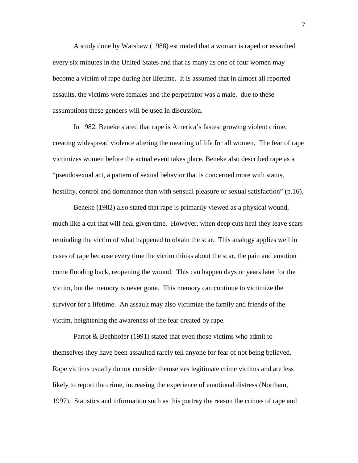A study done by Warshaw (1988) estimated that a woman is raped or assaulted every six minutes in the United States and that as many as one of four women may become a victim of rape during her lifetime. It is assumed that in almost all reported assaults, the victims were females and the perpetrator was a male, due to these assumptions these genders will be used in discussion.

In 1982, Beneke stated that rape is America's fastest growing violent crime, creating widespread violence altering the meaning of life for all women. The fear of rape victimizes women before the actual event takes place. Beneke also described rape as a "pseudosexual act, a pattern of sexual behavior that is concerned more with status, hostility, control and dominance than with sensual pleasure or sexual satisfaction" (p.16).

Beneke (1982) also stated that rape is primarily viewed as a physical wound, much like a cut that will heal given time. However, when deep cuts heal they leave scars reminding the victim of what happened to obtain the scar. This analogy applies well in cases of rape because every time the victim thinks about the scar, the pain and emotion come flooding back, reopening the wound. This can happen days or years later for the victim, but the memory is never gone. This memory can continue to victimize the survivor for a lifetime. An assault may also victimize the family and friends of the victim, heightening the awareness of the fear created by rape.

Parrot & Bechhofer (1991) stated that even those victims who admit to themselves they have been assaulted rarely tell anyone for fear of not being believed. Rape victims usually do not consider themselves legitimate crime victims and are less likely to report the crime, increasing the experience of emotional distress (Northam, 1997). Statistics and information such as this portray the reason the crimes of rape and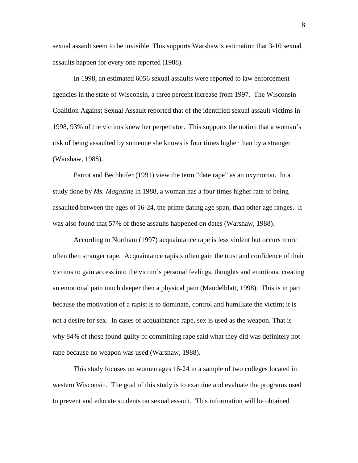sexual assault seem to be invisible. This supports Warshaw's estimation that 3-10 sexual assaults happen for every one reported (1988).

In 1998, an estimated 6056 sexual assaults were reported to law enforcement agencies in the state of Wisconsin, a three percent increase from 1997. The Wisconsin Coalition Against Sexual Assault reported that of the identified sexual assault victims in 1998, 93% of the victims knew her perpetrator. This supports the notion that a woman's risk of being assaulted by someone she knows is four times higher than by a stranger (Warshaw, 1988).

Parrot and Bechhofer (1991) view the term "date rape" as an oxymoron. In a study done by *Ms. Magazine* in 1988, a woman has a four times higher rate of being assaulted between the ages of 16-24, the prime dating age span, than other age ranges. It was also found that 57% of these assaults happened on dates (Warshaw, 1988).

According to Northam (1997) acquaintance rape is less violent but occurs more often then stranger rape. Acquaintance rapists often gain the trust and confidence of their victims to gain access into the victim's personal feelings, thoughts and emotions, creating an emotional pain much deeper then a physical pain (Mandelblatt, 1998). This is in part because the motivation of a rapist is to dominate, control and humiliate the victim; it is not a desire for sex. In cases of acquaintance rape, sex is used as the weapon. That is why 84% of those found guilty of committing rape said what they did was definitely not rape because no weapon was used (Warshaw, 1988).

This study focuses on women ages 16-24 in a sample of two colleges located in western Wisconsin. The goal of this study is to examine and evaluate the programs used to prevent and educate students on sexual assault. This information will be obtained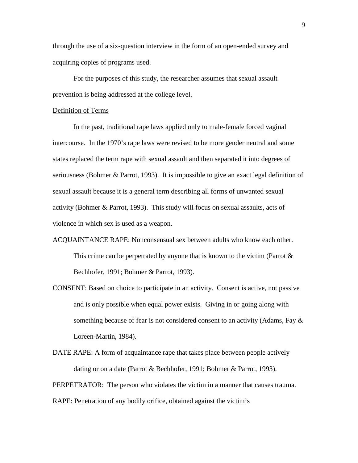through the use of a six-question interview in the form of an open-ended survey and acquiring copies of programs used.

 For the purposes of this study, the researcher assumes that sexual assault prevention is being addressed at the college level.

## Definition of Terms

In the past, traditional rape laws applied only to male-female forced vaginal intercourse. In the 1970's rape laws were revised to be more gender neutral and some states replaced the term rape with sexual assault and then separated it into degrees of seriousness (Bohmer & Parrot, 1993). It is impossible to give an exact legal definition of sexual assault because it is a general term describing all forms of unwanted sexual activity (Bohmer & Parrot, 1993). This study will focus on sexual assaults, acts of violence in which sex is used as a weapon.

- ACQUAINTANCE RAPE: Nonconsensual sex between adults who know each other. This crime can be perpetrated by anyone that is known to the victim (Parrot  $\&$ Bechhofer, 1991; Bohmer & Parrot, 1993).
- CONSENT: Based on choice to participate in an activity. Consent is active, not passive and is only possible when equal power exists. Giving in or going along with something because of fear is not considered consent to an activity (Adams, Fay  $\&$ Loreen-Martin, 1984).

DATE RAPE: A form of acquaintance rape that takes place between people actively dating or on a date (Parrot & Bechhofer, 1991; Bohmer & Parrot, 1993).

PERPETRATOR: The person who violates the victim in a manner that causes trauma.

RAPE: Penetration of any bodily orifice, obtained against the victim's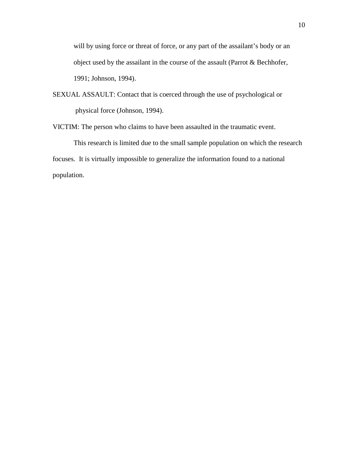will by using force or threat of force, or any part of the assailant's body or an object used by the assailant in the course of the assault (Parrot & Bechhofer, 1991; Johnson, 1994).

SEXUAL ASSAULT: Contact that is coerced through the use of psychological or physical force (Johnson, 1994).

VICTIM: The person who claims to have been assaulted in the traumatic event.

This research is limited due to the small sample population on which the research focuses. It is virtually impossible to generalize the information found to a national population.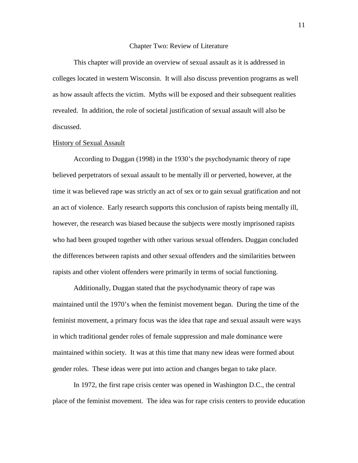#### Chapter Two: Review of Literature

 This chapter will provide an overview of sexual assault as it is addressed in colleges located in western Wisconsin. It will also discuss prevention programs as well as how assault affects the victim. Myths will be exposed and their subsequent realities revealed. In addition, the role of societal justification of sexual assault will also be discussed.

## History of Sexual Assault

 According to Duggan (1998) in the 1930's the psychodynamic theory of rape believed perpetrators of sexual assault to be mentally ill or perverted, however, at the time it was believed rape was strictly an act of sex or to gain sexual gratification and not an act of violence. Early research supports this conclusion of rapists being mentally ill, however, the research was biased because the subjects were mostly imprisoned rapists who had been grouped together with other various sexual offenders. Duggan concluded the differences between rapists and other sexual offenders and the similarities between rapists and other violent offenders were primarily in terms of social functioning.

 Additionally, Duggan stated that the psychodynamic theory of rape was maintained until the 1970's when the feminist movement began. During the time of the feminist movement, a primary focus was the idea that rape and sexual assault were ways in which traditional gender roles of female suppression and male dominance were maintained within society. It was at this time that many new ideas were formed about gender roles. These ideas were put into action and changes began to take place.

 In 1972, the first rape crisis center was opened in Washington D.C., the central place of the feminist movement. The idea was for rape crisis centers to provide education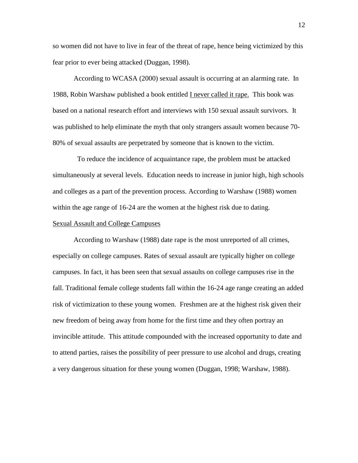so women did not have to live in fear of the threat of rape, hence being victimized by this fear prior to ever being attacked (Duggan, 1998).

According to WCASA (2000) sexual assault is occurring at an alarming rate. In 1988, Robin Warshaw published a book entitled I never called it rape. This book was based on a national research effort and interviews with 150 sexual assault survivors. It was published to help eliminate the myth that only strangers assault women because 70- 80% of sexual assaults are perpetrated by someone that is known to the victim.

 To reduce the incidence of acquaintance rape, the problem must be attacked simultaneously at several levels. Education needs to increase in junior high, high schools and colleges as a part of the prevention process. According to Warshaw (1988) women within the age range of 16-24 are the women at the highest risk due to dating.

### Sexual Assault and College Campuses

According to Warshaw (1988) date rape is the most unreported of all crimes, especially on college campuses. Rates of sexual assault are typically higher on college campuses. In fact, it has been seen that sexual assaults on college campuses rise in the fall. Traditional female college students fall within the 16-24 age range creating an added risk of victimization to these young women. Freshmen are at the highest risk given their new freedom of being away from home for the first time and they often portray an invincible attitude. This attitude compounded with the increased opportunity to date and to attend parties, raises the possibility of peer pressure to use alcohol and drugs, creating a very dangerous situation for these young women (Duggan, 1998; Warshaw, 1988).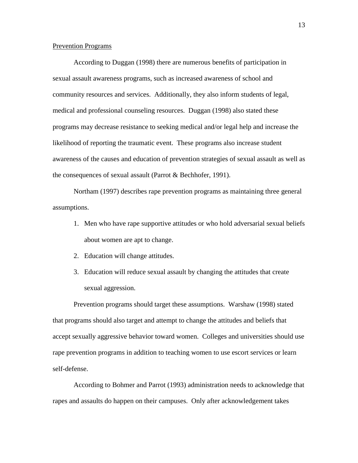#### Prevention Programs

According to Duggan (1998) there are numerous benefits of participation in sexual assault awareness programs, such as increased awareness of school and community resources and services. Additionally, they also inform students of legal, medical and professional counseling resources. Duggan (1998) also stated these programs may decrease resistance to seeking medical and/or legal help and increase the likelihood of reporting the traumatic event. These programs also increase student awareness of the causes and education of prevention strategies of sexual assault as well as the consequences of sexual assault (Parrot & Bechhofer, 1991).

Northam (1997) describes rape prevention programs as maintaining three general assumptions.

- 1. Men who have rape supportive attitudes or who hold adversarial sexual beliefs about women are apt to change.
- 2. Education will change attitudes.
- 3. Education will reduce sexual assault by changing the attitudes that create sexual aggression.

Prevention programs should target these assumptions. Warshaw (1998) stated that programs should also target and attempt to change the attitudes and beliefs that accept sexually aggressive behavior toward women. Colleges and universities should use rape prevention programs in addition to teaching women to use escort services or learn self-defense.

According to Bohmer and Parrot (1993) administration needs to acknowledge that rapes and assaults do happen on their campuses. Only after acknowledgement takes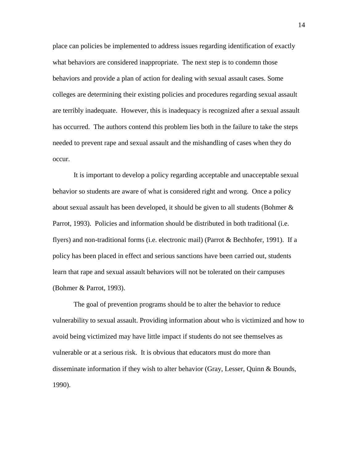place can policies be implemented to address issues regarding identification of exactly what behaviors are considered inappropriate. The next step is to condemn those behaviors and provide a plan of action for dealing with sexual assault cases. Some colleges are determining their existing policies and procedures regarding sexual assault are terribly inadequate. However, this is inadequacy is recognized after a sexual assault has occurred. The authors contend this problem lies both in the failure to take the steps needed to prevent rape and sexual assault and the mishandling of cases when they do occur.

It is important to develop a policy regarding acceptable and unacceptable sexual behavior so students are aware of what is considered right and wrong. Once a policy about sexual assault has been developed, it should be given to all students (Bohmer  $\&$ Parrot, 1993). Policies and information should be distributed in both traditional (i.e. flyers) and non-traditional forms (i.e. electronic mail) (Parrot & Bechhofer, 1991). If a policy has been placed in effect and serious sanctions have been carried out, students learn that rape and sexual assault behaviors will not be tolerated on their campuses (Bohmer & Parrot, 1993).

The goal of prevention programs should be to alter the behavior to reduce vulnerability to sexual assault. Providing information about who is victimized and how to avoid being victimized may have little impact if students do not see themselves as vulnerable or at a serious risk. It is obvious that educators must do more than disseminate information if they wish to alter behavior (Gray, Lesser, Quinn & Bounds, 1990).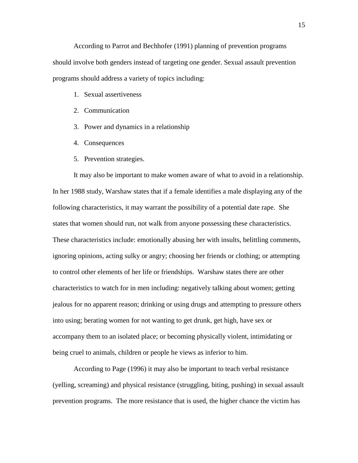According to Parrot and Bechhofer (1991) planning of prevention programs should involve both genders instead of targeting one gender. Sexual assault prevention programs should address a variety of topics including:

- 1. Sexual assertiveness
- 2. Communication
- 3. Power and dynamics in a relationship
- 4. Consequences
- 5. Prevention strategies.

It may also be important to make women aware of what to avoid in a relationship. In her 1988 study, Warshaw states that if a female identifies a male displaying any of the following characteristics, it may warrant the possibility of a potential date rape. She states that women should run, not walk from anyone possessing these characteristics. These characteristics include: emotionally abusing her with insults, belittling comments, ignoring opinions, acting sulky or angry; choosing her friends or clothing; or attempting to control other elements of her life or friendships. Warshaw states there are other characteristics to watch for in men including: negatively talking about women; getting jealous for no apparent reason; drinking or using drugs and attempting to pressure others into using; berating women for not wanting to get drunk, get high, have sex or accompany them to an isolated place; or becoming physically violent, intimidating or being cruel to animals, children or people he views as inferior to him.

According to Page (1996) it may also be important to teach verbal resistance (yelling, screaming) and physical resistance (struggling, biting, pushing) in sexual assault prevention programs. The more resistance that is used, the higher chance the victim has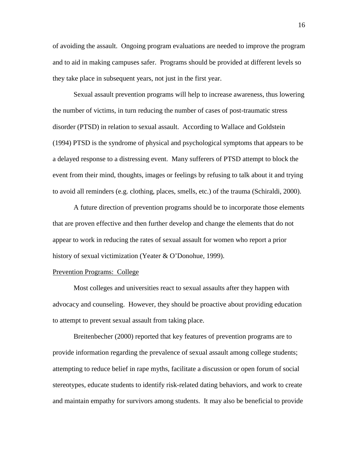of avoiding the assault. Ongoing program evaluations are needed to improve the program and to aid in making campuses safer. Programs should be provided at different levels so they take place in subsequent years, not just in the first year.

Sexual assault prevention programs will help to increase awareness, thus lowering the number of victims, in turn reducing the number of cases of post-traumatic stress disorder (PTSD) in relation to sexual assault. According to Wallace and Goldstein (1994) PTSD is the syndrome of physical and psychological symptoms that appears to be a delayed response to a distressing event. Many sufferers of PTSD attempt to block the event from their mind, thoughts, images or feelings by refusing to talk about it and trying to avoid all reminders (e.g. clothing, places, smells, etc.) of the trauma (Schiraldi, 2000).

A future direction of prevention programs should be to incorporate those elements that are proven effective and then further develop and change the elements that do not appear to work in reducing the rates of sexual assault for women who report a prior history of sexual victimization (Yeater & O'Donohue, 1999).

### Prevention Programs: College

Most colleges and universities react to sexual assaults after they happen with advocacy and counseling. However, they should be proactive about providing education to attempt to prevent sexual assault from taking place.

Breitenbecher (2000) reported that key features of prevention programs are to provide information regarding the prevalence of sexual assault among college students; attempting to reduce belief in rape myths, facilitate a discussion or open forum of social stereotypes, educate students to identify risk-related dating behaviors, and work to create and maintain empathy for survivors among students. It may also be beneficial to provide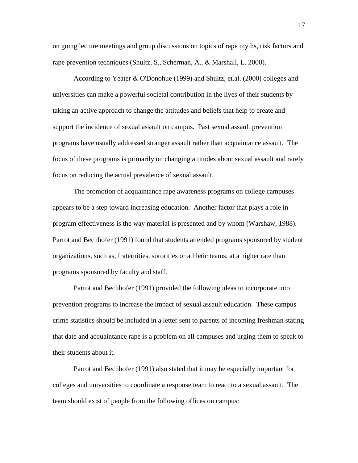on going lecture meetings and group discussions on topics of rape myths, risk factors and rape prevention techniques (Shultz, S., Scherman, A., & Marshall, L. 2000).

According to Yeater & O'Donohue (1999) and Shultz, et.al. (2000) colleges and universities can make a powerful societal contribution in the lives of their students by taking an active approach to change the attitudes and beliefs that help to create and support the incidence of sexual assault on campus. Past sexual assault prevention programs have usually addressed stranger assault rather than acquaintance assault. The focus of these programs is primarily on changing attitudes about sexual assault and rarely focus on reducing the actual prevalence of sexual assault.

The promotion of acquaintance rape awareness programs on college campuses appears to be a step toward increasing education. Another factor that plays a role in program effectiveness is the way material is presented and by whom (Warshaw, 1988). Parrot and Bechhofer (1991) found that students attended programs sponsored by student organizations, such as, fraternities, sororities or athletic teams, at a higher rate than programs sponsored by faculty and staff.

Parrot and Bechhofer (1991) provided the following ideas to incorporate into prevention programs to increase the impact of sexual assault education. These campus crime statistics should be included in a letter sent to parents of incoming freshman stating that date and acquaintance rape is a problem on all campuses and urging them to speak to their students about it.

Parrot and Bechhofer (1991) also stated that it may be especially important for colleges and universities to coordinate a response team to react to a sexual assault. The team should exist of people from the following offices on campus: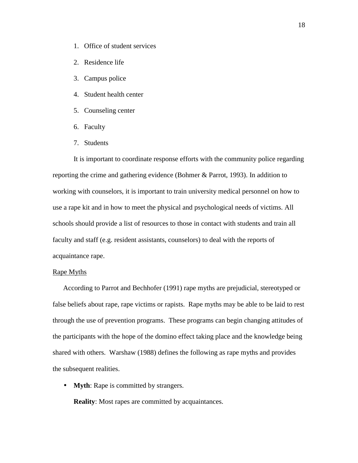- 1. Office of student services
- 2. Residence life
- 3. Campus police
- 4. Student health center
- 5. Counseling center
- 6. Faculty
- 7. Students

It is important to coordinate response efforts with the community police regarding reporting the crime and gathering evidence (Bohmer & Parrot, 1993). In addition to working with counselors, it is important to train university medical personnel on how to use a rape kit and in how to meet the physical and psychological needs of victims. All schools should provide a list of resources to those in contact with students and train all faculty and staff (e.g. resident assistants, counselors) to deal with the reports of acquaintance rape.

## Rape Myths

According to Parrot and Bechhofer (1991) rape myths are prejudicial, stereotyped or false beliefs about rape, rape victims or rapists. Rape myths may be able to be laid to rest through the use of prevention programs. These programs can begin changing attitudes of the participants with the hope of the domino effect taking place and the knowledge being shared with others. Warshaw (1988) defines the following as rape myths and provides the subsequent realities.

• **Myth**: Rape is committed by strangers.

**Reality**: Most rapes are committed by acquaintances.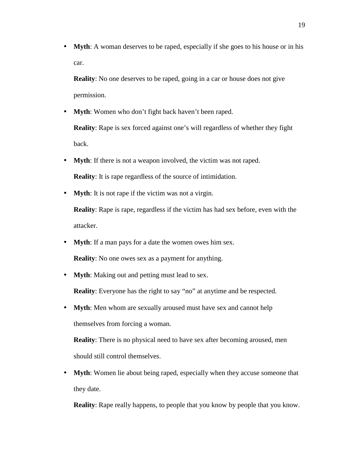• **Myth**: A woman deserves to be raped, especially if she goes to his house or in his car.

**Reality**: No one deserves to be raped, going in a car or house does not give permission.

• **Myth**: Women who don't fight back haven't been raped.

**Reality**: Rape is sex forced against one's will regardless of whether they fight back.

• **Myth**: If there is not a weapon involved, the victim was not raped.

**Reality**: It is rape regardless of the source of intimidation.

• **Myth**: It is not rape if the victim was not a virgin.

**Reality**: Rape is rape, regardless if the victim has had sex before, even with the attacker.

• **Myth**: If a man pays for a date the women owes him sex.

**Reality**: No one owes sex as a payment for anything.

• **Myth**: Making out and petting must lead to sex.

**Reality**: Everyone has the right to say "no" at anytime and be respected.

• **Myth**: Men whom are sexually aroused must have sex and cannot help themselves from forcing a woman.

**Reality**: There is no physical need to have sex after becoming aroused, men should still control themselves.

• **Myth**: Women lie about being raped, especially when they accuse someone that they date.

**Reality**: Rape really happens, to people that you know by people that you know.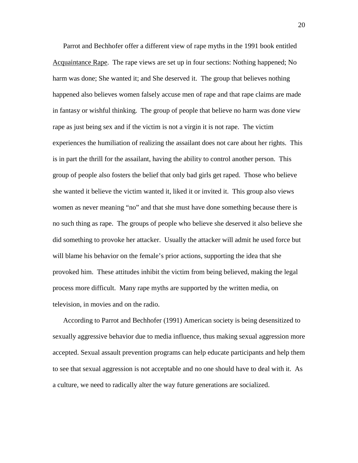Parrot and Bechhofer offer a different view of rape myths in the 1991 book entitled Acquaintance Rape. The rape views are set up in four sections: Nothing happened; No harm was done; She wanted it; and She deserved it. The group that believes nothing happened also believes women falsely accuse men of rape and that rape claims are made in fantasy or wishful thinking. The group of people that believe no harm was done view rape as just being sex and if the victim is not a virgin it is not rape. The victim experiences the humiliation of realizing the assailant does not care about her rights. This is in part the thrill for the assailant, having the ability to control another person. This group of people also fosters the belief that only bad girls get raped. Those who believe she wanted it believe the victim wanted it, liked it or invited it. This group also views women as never meaning "no" and that she must have done something because there is no such thing as rape. The groups of people who believe she deserved it also believe she did something to provoke her attacker. Usually the attacker will admit he used force but will blame his behavior on the female's prior actions, supporting the idea that she provoked him. These attitudes inhibit the victim from being believed, making the legal process more difficult. Many rape myths are supported by the written media, on television, in movies and on the radio.

According to Parrot and Bechhofer (1991) American society is being desensitized to sexually aggressive behavior due to media influence, thus making sexual aggression more accepted. Sexual assault prevention programs can help educate participants and help them to see that sexual aggression is not acceptable and no one should have to deal with it. As a culture, we need to radically alter the way future generations are socialized.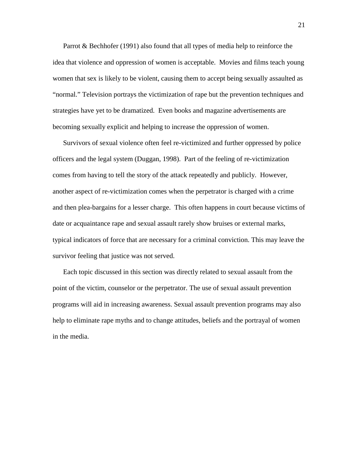Parrot & Bechhofer (1991) also found that all types of media help to reinforce the idea that violence and oppression of women is acceptable. Movies and films teach young women that sex is likely to be violent, causing them to accept being sexually assaulted as "normal." Television portrays the victimization of rape but the prevention techniques and strategies have yet to be dramatized. Even books and magazine advertisements are becoming sexually explicit and helping to increase the oppression of women.

Survivors of sexual violence often feel re-victimized and further oppressed by police officers and the legal system (Duggan, 1998). Part of the feeling of re-victimization comes from having to tell the story of the attack repeatedly and publicly. However, another aspect of re-victimization comes when the perpetrator is charged with a crime and then plea-bargains for a lesser charge. This often happens in court because victims of date or acquaintance rape and sexual assault rarely show bruises or external marks, typical indicators of force that are necessary for a criminal conviction. This may leave the survivor feeling that justice was not served.

Each topic discussed in this section was directly related to sexual assault from the point of the victim, counselor or the perpetrator. The use of sexual assault prevention programs will aid in increasing awareness. Sexual assault prevention programs may also help to eliminate rape myths and to change attitudes, beliefs and the portrayal of women in the media.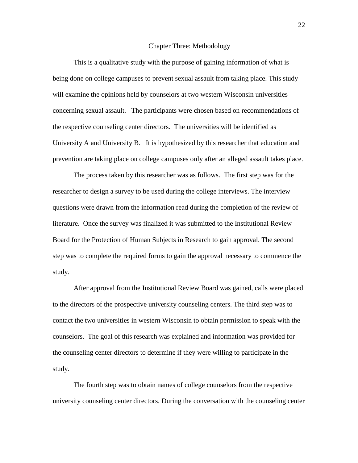#### Chapter Three: Methodology

 This is a qualitative study with the purpose of gaining information of what is being done on college campuses to prevent sexual assault from taking place. This study will examine the opinions held by counselors at two western Wisconsin universities concerning sexual assault. The participants were chosen based on recommendations of the respective counseling center directors. The universities will be identified as University A and University B. It is hypothesized by this researcher that education and prevention are taking place on college campuses only after an alleged assault takes place.

The process taken by this researcher was as follows. The first step was for the researcher to design a survey to be used during the college interviews. The interview questions were drawn from the information read during the completion of the review of literature. Once the survey was finalized it was submitted to the Institutional Review Board for the Protection of Human Subjects in Research to gain approval. The second step was to complete the required forms to gain the approval necessary to commence the study.

After approval from the Institutional Review Board was gained, calls were placed to the directors of the prospective university counseling centers. The third step was to contact the two universities in western Wisconsin to obtain permission to speak with the counselors. The goal of this research was explained and information was provided for the counseling center directors to determine if they were willing to participate in the study.

The fourth step was to obtain names of college counselors from the respective university counseling center directors. During the conversation with the counseling center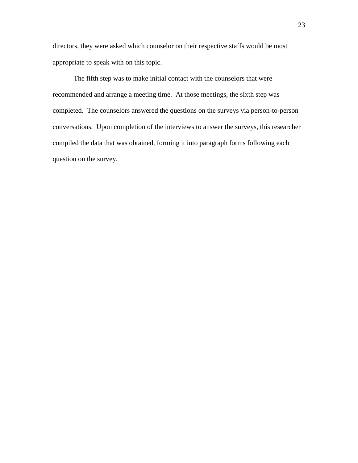directors, they were asked which counselor on their respective staffs would be most appropriate to speak with on this topic.

The fifth step was to make initial contact with the counselors that were recommended and arrange a meeting time. At those meetings, the sixth step was completed. The counselors answered the questions on the surveys via person-to-person conversations. Upon completion of the interviews to answer the surveys, this researcher compiled the data that was obtained, forming it into paragraph forms following each question on the survey.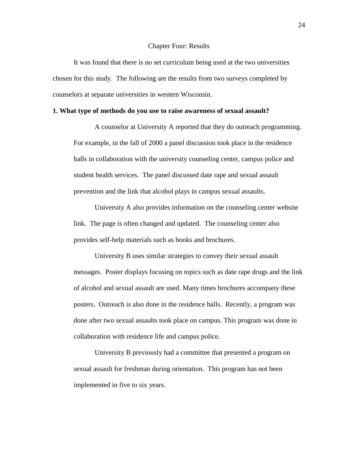#### Chapter Four: Results

 It was found that there is no set curriculum being used at the two universities chosen for this study. The following are the results from two surveys completed by counselors at separate universities in western Wisconsin.

## **1. What type of methods do you use to raise awareness of sexual assault?**

A counselor at University A reported that they do outreach programming. For example, in the fall of 2000 a panel discussion took place in the residence halls in collaboration with the university counseling center, campus police and student health services. The panel discussed date rape and sexual assault prevention and the link that alcohol plays in campus sexual assaults.

University A also provides information on the counseling center website link. The page is often changed and updated. The counseling center also provides self-help materials such as books and brochures.

University B uses similar strategies to convey their sexual assault messages. Poster displays focusing on topics such as date rape drugs and the link of alcohol and sexual assault are used. Many times brochures accompany these posters. Outreach is also done in the residence halls. Recently, a program was done after two sexual assaults took place on campus. This program was done in collaboration with residence life and campus police.

University B previously had a committee that presented a program on sexual assault for freshman during orientation. This program has not been implemented in five to six years.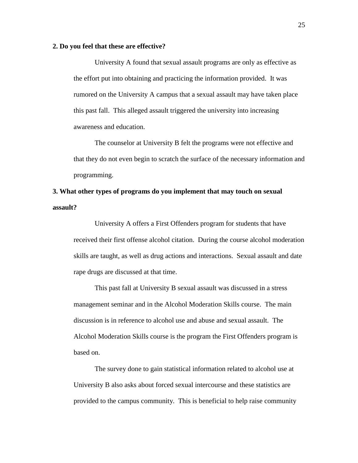## **2. Do you feel that these are effective?**

University A found that sexual assault programs are only as effective as the effort put into obtaining and practicing the information provided. It was rumored on the University A campus that a sexual assault may have taken place this past fall. This alleged assault triggered the university into increasing awareness and education.

The counselor at University B felt the programs were not effective and that they do not even begin to scratch the surface of the necessary information and programming.

# **3. What other types of programs do you implement that may touch on sexual assault?**

University A offers a First Offenders program for students that have received their first offense alcohol citation. During the course alcohol moderation skills are taught, as well as drug actions and interactions. Sexual assault and date rape drugs are discussed at that time.

This past fall at University B sexual assault was discussed in a stress management seminar and in the Alcohol Moderation Skills course. The main discussion is in reference to alcohol use and abuse and sexual assault. The Alcohol Moderation Skills course is the program the First Offenders program is based on.

The survey done to gain statistical information related to alcohol use at University B also asks about forced sexual intercourse and these statistics are provided to the campus community. This is beneficial to help raise community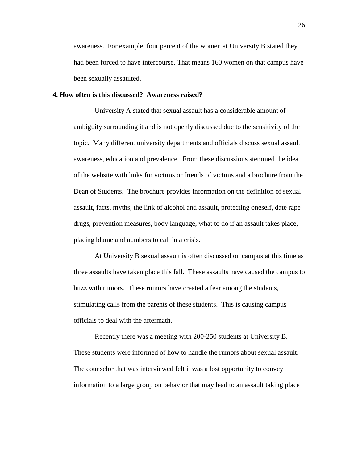awareness. For example, four percent of the women at University B stated they had been forced to have intercourse. That means 160 women on that campus have been sexually assaulted.

## **4. How often is this discussed? Awareness raised?**

University A stated that sexual assault has a considerable amount of ambiguity surrounding it and is not openly discussed due to the sensitivity of the topic. Many different university departments and officials discuss sexual assault awareness, education and prevalence. From these discussions stemmed the idea of the website with links for victims or friends of victims and a brochure from the Dean of Students. The brochure provides information on the definition of sexual assault, facts, myths, the link of alcohol and assault, protecting oneself, date rape drugs, prevention measures, body language, what to do if an assault takes place, placing blame and numbers to call in a crisis.

At University B sexual assault is often discussed on campus at this time as three assaults have taken place this fall. These assaults have caused the campus to buzz with rumors. These rumors have created a fear among the students, stimulating calls from the parents of these students. This is causing campus officials to deal with the aftermath.

Recently there was a meeting with 200-250 students at University B. These students were informed of how to handle the rumors about sexual assault. The counselor that was interviewed felt it was a lost opportunity to convey information to a large group on behavior that may lead to an assault taking place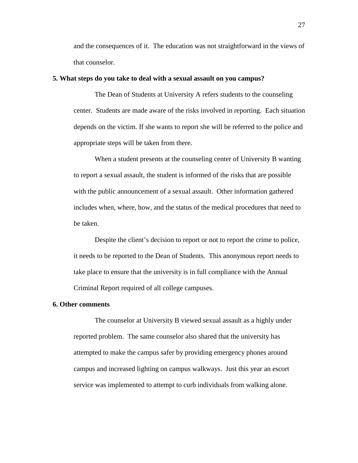and the consequences of it. The education was not straightforward in the views of that counselor.

#### **5. What steps do you take to deal with a sexual assault on you campus?**

The Dean of Students at University A refers students to the counseling center. Students are made aware of the risks involved in reporting. Each situation depends on the victim. If she wants to report she will be referred to the police and appropriate steps will be taken from there.

When a student presents at the counseling center of University B wanting to report a sexual assault, the student is informed of the risks that are possible with the public announcement of a sexual assault. Other information gathered includes when, where, how, and the status of the medical procedures that need to be taken.

Despite the client's decision to report or not to report the crime to police, it needs to be reported to the Dean of Students. This anonymous report needs to take place to ensure that the university is in full compliance with the Annual Criminal Report required of all college campuses.

## **6. Other comments**

The counselor at University B viewed sexual assault as a highly under reported problem. The same counselor also shared that the university has attempted to make the campus safer by providing emergency phones around campus and increased lighting on campus walkways. Just this year an escort service was implemented to attempt to curb individuals from walking alone.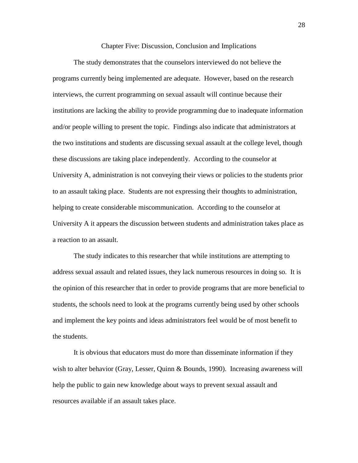#### Chapter Five: Discussion, Conclusion and Implications

 The study demonstrates that the counselors interviewed do not believe the programs currently being implemented are adequate. However, based on the research interviews, the current programming on sexual assault will continue because their institutions are lacking the ability to provide programming due to inadequate information and/or people willing to present the topic. Findings also indicate that administrators at the two institutions and students are discussing sexual assault at the college level, though these discussions are taking place independently. According to the counselor at University A, administration is not conveying their views or policies to the students prior to an assault taking place. Students are not expressing their thoughts to administration, helping to create considerable miscommunication. According to the counselor at University A it appears the discussion between students and administration takes place as a reaction to an assault.

The study indicates to this researcher that while institutions are attempting to address sexual assault and related issues, they lack numerous resources in doing so. It is the opinion of this researcher that in order to provide programs that are more beneficial to students, the schools need to look at the programs currently being used by other schools and implement the key points and ideas administrators feel would be of most benefit to the students.

It is obvious that educators must do more than disseminate information if they wish to alter behavior (Gray, Lesser, Quinn & Bounds, 1990). Increasing awareness will help the public to gain new knowledge about ways to prevent sexual assault and resources available if an assault takes place.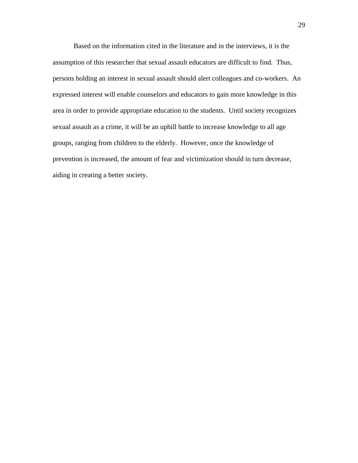Based on the information cited in the literature and in the interviews, it is the assumption of this researcher that sexual assault educators are difficult to find. Thus, persons holding an interest in sexual assault should alert colleagues and co-workers. An expressed interest will enable counselors and educators to gain more knowledge in this area in order to provide appropriate education to the students. Until society recognizes sexual assault as a crime, it will be an uphill battle to increase knowledge to all age groups, ranging from children to the elderly. However, once the knowledge of prevention is increased, the amount of fear and victimization should in turn decrease, aiding in creating a better society.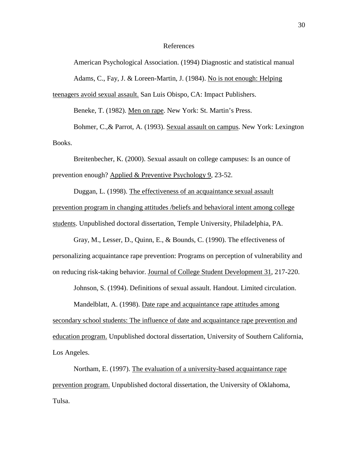#### References

 American Psychological Association. (1994) Diagnostic and statistical manual Adams, C., Fay, J. & Loreen-Martin, J. (1984). No is not enough: Helping

teenagers avoid sexual assault. San Luis Obispo, CA: Impact Publishers.

Beneke, T. (1982). Men on rape. New York: St. Martin's Press.

 Bohmer, C.,& Parrot, A. (1993). Sexual assault on campus. New York: Lexington Books.

 Breitenbecher, K. (2000). Sexual assault on college campuses: Is an ounce of prevention enough? Applied & Preventive Psychology 9, 23-52.

 Duggan, L. (1998). The effectiveness of an acquaintance sexual assault prevention program in changing attitudes /beliefs and behavioral intent among college students. Unpublished doctoral dissertation, Temple University, Philadelphia, PA.

 Gray, M., Lesser, D., Quinn, E., & Bounds, C. (1990). The effectiveness of personalizing acquaintance rape prevention: Programs on perception of vulnerability and on reducing risk-taking behavior. Journal of College Student Development 31, 217-220.

Johnson, S. (1994). Definitions of sexual assault. Handout. Limited circulation.

 Mandelblatt, A. (1998). Date rape and acquaintance rape attitudes among secondary school students: The influence of date and acquaintance rape prevention and education program. Unpublished doctoral dissertation, University of Southern California, Los Angeles.

 Northam, E. (1997). The evaluation of a university-based acquaintance rape prevention program. Unpublished doctoral dissertation, the University of Oklahoma, Tulsa.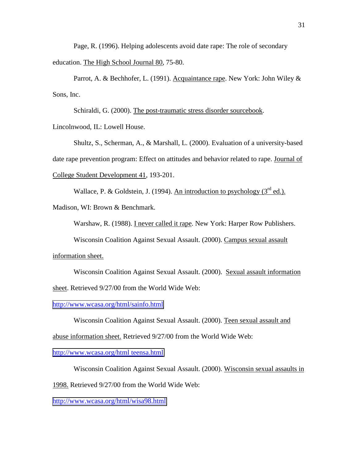Page, R. (1996). Helping adolescents avoid date rape: The role of secondary education. The High School Journal 80, 75-80.

 Parrot, A. & Bechhofer, L. (1991). Acquaintance rape. New York: John Wiley & Sons, Inc.

Schiraldi, G. (2000). The post-traumatic stress disorder sourcebook.

Lincolnwood, IL: Lowell House.

 Shultz, S., Scherman, A., & Marshall, L. (2000). Evaluation of a university-based date rape prevention program: Effect on attitudes and behavior related to rape. Journal of College Student Development 41, 193-201.

Wallace, P. & Goldstein, J. (1994). An introduction to psychology  $(3^{\text{rd}}$  ed.).

Madison, WI: Brown & Benchmark.

Warshaw, R. (1988). I never called it rape. New York: Harper Row Publishers.

Wisconsin Coalition Against Sexual Assault. (2000). Campus sexual assault

information sheet.

 Wisconsin Coalition Against Sexual Assault. (2000). Sexual assault information sheet. Retrieved 9/27/00 from the World Wide Web:

<http://www.wcasa.org/html/sainfo.html>

Wisconsin Coalition Against Sexual Assault. (2000). Teen sexual assault and

abuse information sheet. Retrieved 9/27/00 from the World Wide Web:

<http://www.wcasa.org/html teensa.html>

Wisconsin Coalition Against Sexual Assault. (2000). Wisconsin sexual assaults in

1998. Retrieved 9/27/00 from the World Wide Web:

<http://www.wcasa.org/html/wisa98.html>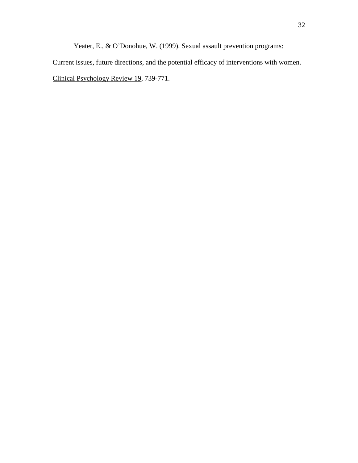Yeater, E., & O'Donohue, W. (1999). Sexual assault prevention programs:

Current issues, future directions, and the potential efficacy of interventions with women. Clinical Psychology Review 19, 739-771.